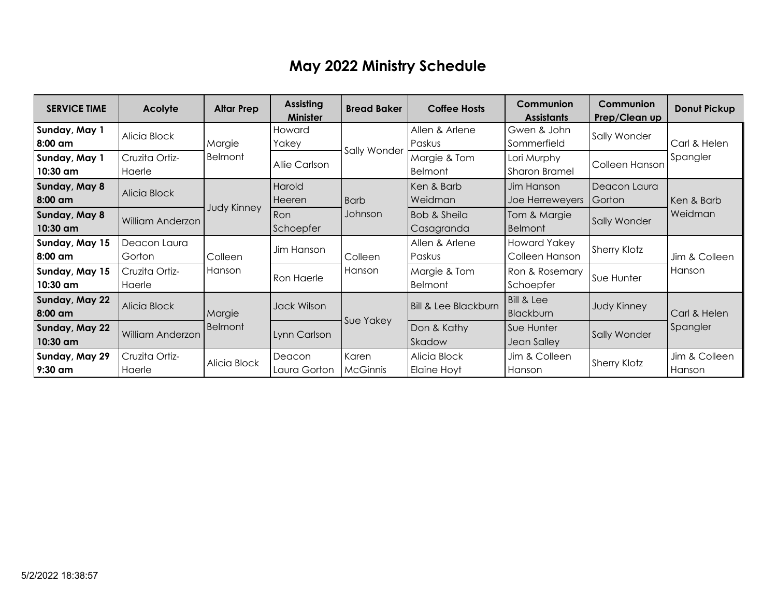## **May 2022 Ministry Schedule**

| <b>SERVICE TIME</b>        | Acolyte                  | <b>Altar Prep</b>        | <b>Assisting</b><br><b>Minister</b> | <b>Bread Baker</b> | <b>Coffee Hosts</b>                   | Communion<br><b>Assistants</b>      | <b>Communion</b><br>Prep/Clean up | Donut Pickup             |
|----------------------------|--------------------------|--------------------------|-------------------------------------|--------------------|---------------------------------------|-------------------------------------|-----------------------------------|--------------------------|
| Sunday, May 1<br>8:00 am   | Alicia Block             | Margie<br><b>Belmont</b> | Howard<br>Yakey                     | Sally Wonder       | Allen & Arlene<br>Paskus              | Gwen & John<br>Sommerfield          | Sally Wonder                      | Carl & Helen<br>Spangler |
| Sunday, May 1<br>10:30 am  | Cruzita Ortiz-<br>Haerle |                          | Allie Carlson                       |                    | Margie & Tom<br><b>Belmont</b>        | Lori Murphy<br><b>Sharon Bramel</b> | Colleen Hanson                    |                          |
| Sunday, May 8<br>8:00 am   | Alicia Block             | <b>Judy Kinney</b>       | Harold<br>Heeren                    | <b>Barb</b>        | Ken & Barb<br>Weidman                 | Jim Hanson<br>Joe Herreweyers       | Deacon Laura<br>Gorton            | Ken & Barb<br>Weidman    |
| Sunday, May 8<br>10:30 am  | William Anderzon         |                          | Ron<br>Schoepfer                    | Johnson            | <b>Bob &amp; Sheila</b><br>Casagranda | Tom & Margie<br><b>Belmont</b>      | Sally Wonder                      |                          |
| Sunday, May 15<br>8:00 am  | Deacon Laura<br>Gorton   | Colleen<br>Hanson        | Jim Hanson                          | Colleen<br>Hanson  | Allen & Arlene<br>Paskus              | Howard Yakey<br>Colleen Hanson      | <b>Sherry Klotz</b>               | Jim & Colleen<br>Hanson  |
| Sunday, May 15<br>10:30 am | Cruzita Ortiz-<br>Haerle |                          | Ron Haerle                          |                    | Margie & Tom<br><b>Belmont</b>        | Ron & Rosemary<br>Schoepfer         | Sue Hunter                        |                          |
| Sunday, May 22<br>8:00 am  | Alicia Block             | Margie<br>Belmont        | Jack Wilson                         | Sue Yakey          | <b>Bill &amp; Lee Blackburn</b>       | Bill & Lee<br>Blackburn             | <b>Judy Kinney</b>                | Carl & Helen<br>Spangler |
| Sunday, May 22<br>10:30 am | William Anderzon         |                          | Lynn Carlson                        |                    | Don & Kathy<br>Skadow                 | Sue Hunter<br>Jean Salley           | Sally Wonder                      |                          |
| Sunday, May 29<br>9:30 am  | Cruzita Ortiz-<br>Haerle | Alicia Block             | Deacon<br>Laura Gorton              | Karen<br>McGinnis  | Alicia Block<br>Elaine Hoyt           | Jim & Colleen<br>Hanson             | <b>Sherry Klotz</b>               | Jim & Colleen<br>Hanson  |